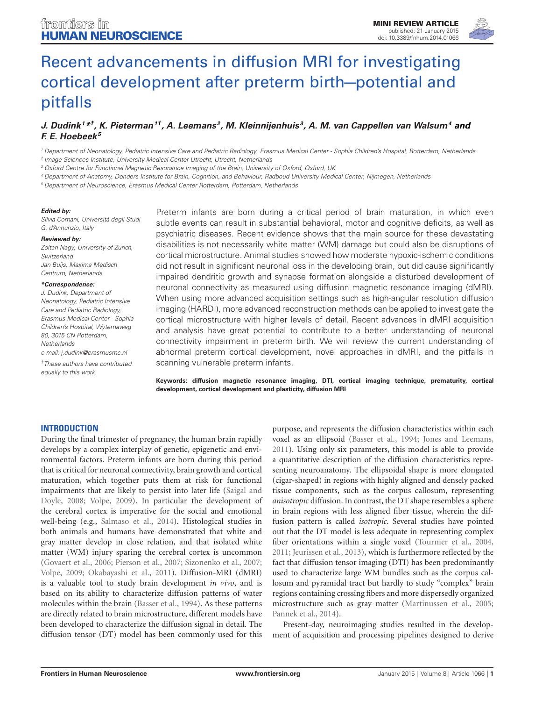

# [Recent advancements in diffusion MRI for investigating](http://www.frontiersin.org/Journal/10.3389/fnhum.2014.01066/abstract) [cortical development after preterm birth—potential and](http://www.frontiersin.org/Journal/10.3389/fnhum.2014.01066/abstract) [pitfalls](http://www.frontiersin.org/Journal/10.3389/fnhum.2014.01066/abstract)

# [J. Dudink](http://community.frontiersin.org/people/u/170835)<sup>1\*†</sup>, [K. Pieterman](http://community.frontiersin.org/people/u/191072)<sup>1†</sup>, [A. Leemans](http://community.frontiersin.org/people/u/130917)<sup>2</sup>, [M. Kleinnijenhuis](http://community.frontiersin.org/people/u/197643)<sup>3</sup>, [A. M. van Cappellen van Walsum](http://community.frontiersin.org/people/u/46152)<sup>4</sup> and **[F. E. Hoebeek](http://community.frontiersin.org/people/u/81348)<sup>5</sup>**

<sup>1</sup> Department of Neonatology, Pediatric Intensive Care and Pediatric Radiology, Erasmus Medical Center - Sophia Children's Hospital, Rotterdam, Netherlands

2 Image Sciences Institute, University Medical Center Utrecht, Utrecht, Netherlands

<sup>3</sup> Oxford Centre for Functional Magnetic Resonance Imaging of the Brain, University of Oxford, Oxford, UK

Department of Anatomy, Donders Institute for Brain, Cognition, and Behaviour, Radboud University Medical Center, Nijmegen, Netherlands

<sup>5</sup> Department of Neuroscience, Erasmus Medical Center Rotterdam, Rotterdam, Netherlands

#### **Edited by:**

Silvia Comani, Università degli Studi G. d'Annunzio, Italy

#### **Reviewed by:**

Zoltan Nagy, University of Zurich, Switzerland Jan Buijs, Maxima Medisch Centrum, Netherlands

#### **\*Correspondence:**

J. Dudink, Department of Neonatology, Pediatric Intensive Care and Pediatric Radiology, Erasmus Medical Center - Sophia Children's Hospital, Wytemaweg 80, 3015 CN Rotterdam, **Netherlands** e-mail: [j.dudink@erasmusmc.nl](mailto:j.dudink@erasmusmc.nl)

†These authors have contributed equally to this work.

Preterm infants are born during a critical period of brain maturation, in which even subtle events can result in substantial behavioral, motor and cognitive deficits, as well as psychiatric diseases. Recent evidence shows that the main source for these devastating disabilities is not necessarily white matter (WM) damage but could also be disruptions of cortical microstructure. Animal studies showed how moderate hypoxic-ischemic conditions did not result in significant neuronal loss in the developing brain, but did cause significantly impaired dendritic growth and synapse formation alongside a disturbed development of neuronal connectivity as measured using diffusion magnetic resonance imaging (dMRI). When using more advanced acquisition settings such as high-angular resolution diffusion imaging (HARDI), more advanced reconstruction methods can be applied to investigate the cortical microstructure with higher levels of detail. Recent advances in dMRI acquisition and analysis have great potential to contribute to a better understanding of neuronal connectivity impairment in preterm birth. We will review the current understanding of abnormal preterm cortical development, novel approaches in dMRI, and the pitfalls in scanning vulnerable preterm infants.

**Keywords: diffusion magnetic resonance imaging, DTI, cortical imaging technique, prematurity, cortical development, cortical development and plasticity, diffusion MRI**

## **INTRODUCTION**

During the final trimester of pregnancy, the human brain rapidly develops by a complex interplay of genetic, epigenetic and environmental factors. Preterm infants are born during this period that is critical for neuronal connectivity, brain growth and cortical maturation, which together puts them at risk for functional impairments that are likely to persist into later life [\(Saigal and](#page-5-0) [Doyle, 2008;](#page-5-0) [Volpe, 2009\)](#page-6-0). In particular the development of the cerebral cortex is imperative for the social and emotional well-being (e.g., [Salmaso et al., 2014\)](#page-5-1). Histological studies in both animals and humans have demonstrated that white and gray matter develop in close relation, and that isolated white matter (WM) injury sparing the cerebral cortex is uncommon [\(Govaert et al., 2006;](#page-4-0) [Pierson et al., 2007;](#page-5-2) [Sizonenko et al., 2007;](#page-5-3) [Volpe, 2009;](#page-6-0) [Okabayashi et al., 2011\)](#page-5-4). Diffusion-MRI (dMRI) is a valuable tool to study brain development *in vivo*, and is based on its ability to characterize diffusion patterns of water molecules within the brain [\(Basser et al., 1994\)](#page-4-1). As these patterns are directly related to brain microstructure, different models have been developed to characterize the diffusion signal in detail. The diffusion tensor (DT) model has been commonly used for this

purpose, and represents the diffusion characteristics within each voxel as an ellipsoid [\(Basser et al., 1994;](#page-4-1) [Jones and Leemans,](#page-4-2) [2011\)](#page-4-2). Using only six parameters, this model is able to provide a quantitative description of the diffusion characteristics representing neuroanatomy. The ellipsoidal shape is more elongated (cigar-shaped) in regions with highly aligned and densely packed tissue components, such as the corpus callosum, representing *anisotropic* diffusion. In contrast, the DT shape resembles a sphere in brain regions with less aligned fiber tissue, wherein the diffusion pattern is called *isotropic*. Several studies have pointed out that the DT model is less adequate in representing complex fiber orientations within a single voxel [\(Tournier et al., 2004,](#page-5-5) [2011;](#page-5-6) [Jeurissen et al., 2013\)](#page-4-3), which is furthermore reflected by the fact that diffusion tensor imaging (DTI) has been predominantly used to characterize large WM bundles such as the corpus callosum and pyramidal tract but hardly to study "complex" brain regions containing crossing fibers and more dispersedly organized microstructure such as gray matter [\(Martinussen et al., 2005;](#page-5-7) [Pannek et al., 2014\)](#page-5-8).

Present-day, neuroimaging studies resulted in the development of acquisition and processing pipelines designed to derive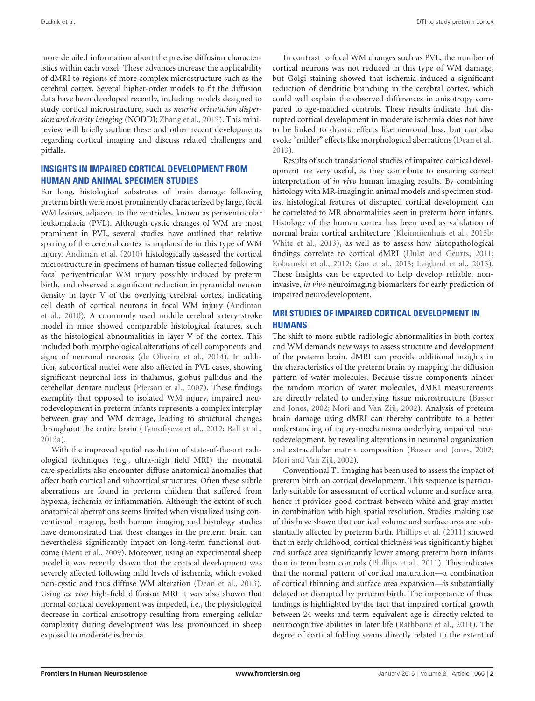more detailed information about the precise diffusion characteristics within each voxel. These advances increase the applicability of dMRI to regions of more complex microstructure such as the cerebral cortex. Several higher-order models to fit the diffusion data have been developed recently, including models designed to study cortical microstructure, such as *neurite orientation dispersion and density imaging* (NODDI; [Zhang et al.,](#page-6-1) [2012\)](#page-6-1). This minireview will briefly outline these and other recent developments regarding cortical imaging and discuss related challenges and pitfalls.

# **INSIGHTS IN IMPAIRED CORTICAL DEVELOPMENT FROM HUMAN AND ANIMAL SPECIMEN STUDIES**

For long, histological substrates of brain damage following preterm birth were most prominently characterized by large, focal WM lesions, adjacent to the ventricles, known as periventricular leukomalacia (PVL). Although cystic changes of WM are most prominent in PVL, several studies have outlined that relative sparing of the cerebral cortex is implausible in this type of WM injury. [Andiman et al.](#page-4-4) [\(2010\)](#page-4-4) histologically assessed the cortical microstructure in specimens of human tissue collected following focal periventricular WM injury possibly induced by preterm birth, and observed a significant reduction in pyramidal neuron density in layer V of the overlying cerebral cortex, indicating cell death of cortical neurons in focal WM injury [\(Andiman](#page-4-4) [et al.,](#page-4-4) [2010\)](#page-4-4). A commonly used middle cerebral artery stroke model in mice showed comparable histological features, such as the histological abnormalities in layer V of the cortex. This included both morphological alterations of cell components and signs of neuronal necrosis [\(de Oliveira et al.,](#page-4-5) [2014\)](#page-4-5). In addition, subcortical nuclei were also affected in PVL cases, showing significant neuronal loss in thalamus, globus pallidus and the cerebellar dentate nucleus [\(Pierson et al.,](#page-5-2) [2007\)](#page-5-2). These findings exemplify that opposed to isolated WM injury, impaired neurodevelopment in preterm infants represents a complex interplay between gray and WM damage, leading to structural changes throughout the entire brain [\(Tymofiyeva et al.,](#page-6-2) [2012;](#page-6-2) [Ball et al.,](#page-4-6) [2013a\)](#page-4-6).

With the improved spatial resolution of state-of-the-art radiological techniques (e.g., ultra-high field MRI) the neonatal care specialists also encounter diffuse anatomical anomalies that affect both cortical and subcortical structures. Often these subtle aberrations are found in preterm children that suffered from hypoxia, ischemia or inflammation. Although the extent of such anatomical aberrations seems limited when visualized using conventional imaging, both human imaging and histology studies have demonstrated that these changes in the preterm brain can nevertheless significantly impact on long-term functional outcome [\(Ment et al.,](#page-5-9) [2009\)](#page-5-9). Moreover, using an experimental sheep model it was recently shown that the cortical development was severely affected following mild levels of ischemia, which evoked non-cystic and thus diffuse WM alteration [\(Dean et al.,](#page-4-7) [2013\)](#page-4-7). Using *ex vivo* high-field diffusion MRI it was also shown that normal cortical development was impeded, i.e., the physiological decrease in cortical anisotropy resulting from emerging cellular complexity during development was less pronounced in sheep exposed to moderate ischemia.

In contrast to focal WM changes such as PVL, the number of cortical neurons was not reduced in this type of WM damage, but Golgi-staining showed that ischemia induced a significant reduction of dendritic branching in the cerebral cortex, which could well explain the observed differences in anisotropy compared to age-matched controls. These results indicate that disrupted cortical development in moderate ischemia does not have to be linked to drastic effects like neuronal loss, but can also evoke "milder" effects like morphological aberrations [\(Dean et al.,](#page-4-7) [2013\)](#page-4-7).

Results of such translational studies of impaired cortical development are very useful, as they contribute to ensuring correct interpretation of *in vivo* human imaging results. By combining histology with MR-imaging in animal models and specimen studies, histological features of disrupted cortical development can be correlated to MR abnormalities seen in preterm born infants. Histology of the human cortex has been used as validation of normal brain cortical architecture [\(Kleinnijenhuis et al.,](#page-5-10) [2013b;](#page-5-10) [White et al.,](#page-6-3) [2013\)](#page-6-3), as well as to assess how histopathological findings correlate to cortical dMRI [\(Hulst and Geurts,](#page-4-8) [2011;](#page-4-8) [Kolasinski et al.,](#page-5-11) [2012;](#page-5-11) [Gao et al.,](#page-4-9) [2013;](#page-4-9) [Leigland et al.,](#page-5-12) [2013\)](#page-5-12). These insights can be expected to help develop reliable, noninvasive, *in vivo* neuroimaging biomarkers for early prediction of impaired neurodevelopment.

# **MRI STUDIES OF IMPAIRED CORTICAL DEVELOPMENT IN HUMANS**

The shift to more subtle radiologic abnormalities in both cortex and WM demands new ways to assess structure and development of the preterm brain. dMRI can provide additional insights in the characteristics of the preterm brain by mapping the diffusion pattern of water molecules. Because tissue components hinder the random motion of water molecules, dMRI measurements are directly related to underlying tissue microstructure [\(Basser](#page-4-10) [and Jones,](#page-4-10) [2002;](#page-4-10) [Mori and Van Zijl,](#page-5-13) [2002\)](#page-5-13). Analysis of preterm brain damage using dMRI can thereby contribute to a better understanding of injury-mechanisms underlying impaired neurodevelopment, by revealing alterations in neuronal organization and extracellular matrix composition [\(Basser and Jones,](#page-4-10) [2002;](#page-4-10) [Mori and Van Zijl,](#page-5-13) [2002\)](#page-5-13).

Conventional T1 imaging has been used to assess the impact of preterm birth on cortical development. This sequence is particularly suitable for assessment of cortical volume and surface area, hence it provides good contrast between white and gray matter in combination with high spatial resolution. Studies making use of this have shown that cortical volume and surface area are substantially affected by preterm birth. [Phillips et al.](#page-5-14) [\(2011\)](#page-5-14) showed that in early childhood, cortical thickness was significantly higher and surface area significantly lower among preterm born infants than in term born controls [\(Phillips et al.,](#page-5-14) [2011\)](#page-5-14). This indicates that the normal pattern of cortical maturation—a combination of cortical thinning and surface area expansion—is substantially delayed or disrupted by preterm birth. The importance of these findings is highlighted by the fact that impaired cortical growth between 24 weeks and term-equivalent age is directly related to neurocognitive abilities in later life [\(Rathbone et al.,](#page-5-15) [2011\)](#page-5-15). The degree of cortical folding seems directly related to the extent of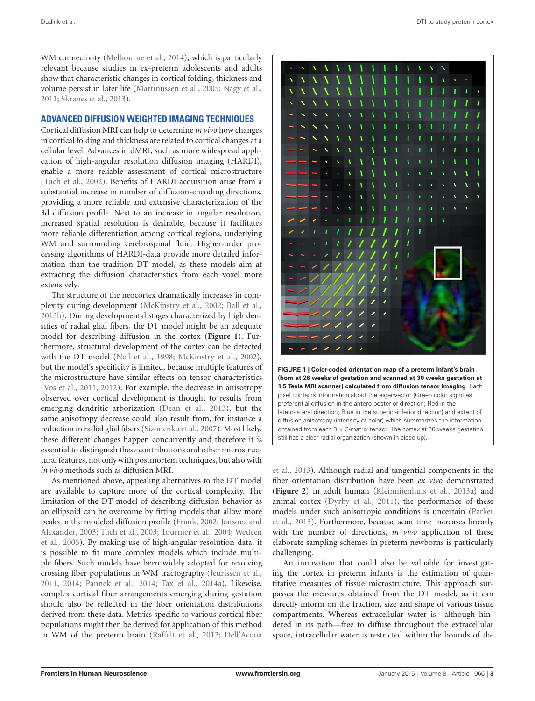WM connectivity [\(Melbourne et al.,](#page-5-16) [2014\)](#page-5-16), which is particularly relevant because studies in ex-preterm adolescents and adults show that characteristic changes in cortical folding, thickness and volume persist in later life [\(Martinussen et al.,](#page-5-7) [2005;](#page-5-7) [Nagy et al.,](#page-5-17) [2011;](#page-5-17) [Skranes et al.,](#page-5-18) [2013\)](#page-5-18).

## **ADVANCED DIFFUSION WEIGHTED IMAGING TECHNIQUES**

Cortical diffusion MRI can help to determine *in vivo* how changes in cortical folding and thickness are related to cortical changes at a cellular level. Advances in dMRI, such as more widespread application of high-angular resolution diffusion imaging (HARDI), enable a more reliable assessment of cortical microstructure [\(Tuch et al.,](#page-5-19) [2002\)](#page-5-19). Benefits of HARDI acquisition arise from a substantial increase in number of diffusion-encoding directions, providing a more reliable and extensive characterization of the 3d diffusion profile. Next to an increase in angular resolution, increased spatial resolution is desirable, because it facilitates more reliable differentiation among cortical regions, underlying WM and surrounding cerebrospinal fluid. Higher-order processing algorithms of HARDI-data provide more detailed information than the tradition DT model, as these models aim at extracting the diffusion characteristics from each voxel more extensively.

The structure of the neocortex dramatically increases in complexity during development [\(McKinstry et al.,](#page-5-20) [2002;](#page-5-20) [Ball et al.,](#page-4-11) [2013b\)](#page-4-11). During developmental stages characterized by high densities of radial glial fibers, the DT model might be an adequate model for describing diffusion in the cortex (**[Figure 1](#page-2-0)**). Furthermore, structural development of the cortex can be detected with the DT model [\(Neil et al.,](#page-5-21) [1998;](#page-5-21) [McKinstry et al.,](#page-5-20) [2002\)](#page-5-20), but the model's specificity is limited, because multiple features of the microstructure have similar effects on tensor characteristics [\(Vos et al.,](#page-6-4) [2011,](#page-6-4) [2012\)](#page-6-5). For example, the decrease in anisotropy observed over cortical development is thought to results from emerging dendritic arborization [\(Dean et al.,](#page-4-7) [2013\)](#page-4-7), but the same anisotropy decrease could also result from, for instance a reduction in radial glial fibers [\(Sizonenko et al.,](#page-5-3) [2007\)](#page-5-3). Most likely, these different changes happen concurrently and therefore it is essential to distinguish these contributions and other microstructural features, not only with postmortem techniques, but also with *in vivo* methods such as diffusion MRI.

As mentioned above, appealing alternatives to the DT model are available to capture more of the cortical complexity. The limitation of the DT model of describing diffusion behavior as an ellipsoid can be overcome by fitting models that allow more peaks in the modeled diffusion profile [\(Frank,](#page-4-12) [2002;](#page-4-12) [Jansons and](#page-4-13) [Alexander,](#page-4-13) [2003;](#page-4-13) [Tuch et al.,](#page-6-6) [2003;](#page-6-6) [Tournier et al.,](#page-5-5) [2004;](#page-5-5) [Wedeen](#page-6-7) [et al.,](#page-6-7) [2005\)](#page-6-7). By making use of high-angular resolution data, it is possible to fit more complex models which include multiple fibers. Such models have been widely adopted for resolving crossing fiber populations in WM tractography [\(Jeurissen et al.,](#page-4-14) [2011,](#page-4-14) [2014;](#page-4-15) [Pannek et al.,](#page-5-8) [2014;](#page-5-8) [Tax et al.,](#page-5-22) [2014a\)](#page-5-22). Likewise, complex cortical fiber arrangements emerging during gestation should also be reflected in the fiber orientation distributions derived from these data. Metrics specific to various cortical fiber populations might then be derived for application of this method in WM of the preterm brain [\(Raffelt et al.,](#page-5-23) [2012;](#page-5-23) [Dell'Acqua](#page-4-16)



<span id="page-2-0"></span>

[et al.,](#page-4-16) [2013\)](#page-4-16). Although radial and tangential components in the fiber orientation distribution have been *ex vivo* demonstrated (**[Figure 2](#page-3-0)**) in adult human [\(Kleinnijenhuis et al.,](#page-5-24) [2013a\)](#page-5-24) and animal cortex [\(Dyrby et al.,](#page-4-17) [2011\)](#page-4-17), the performance of these models under such anisotropic conditions is uncertain [\(Parker](#page-5-25) [et al.,](#page-5-25) [2013\)](#page-5-25). Furthermore, because scan time increases linearly with the number of directions, *in vivo* application of these elaborate sampling schemes in preterm newborns is particularly challenging.

An innovation that could also be valuable for investigating the cortex in preterm infants is the estimation of quantitative measures of tissue microstructure. This approach surpasses the measures obtained from the DT model, as it can directly inform on the fraction, size and shape of various tissue compartments. Whereas extracellular water is—although hindered in its path—free to diffuse throughout the extracellular space, intracellular water is restricted within the bounds of the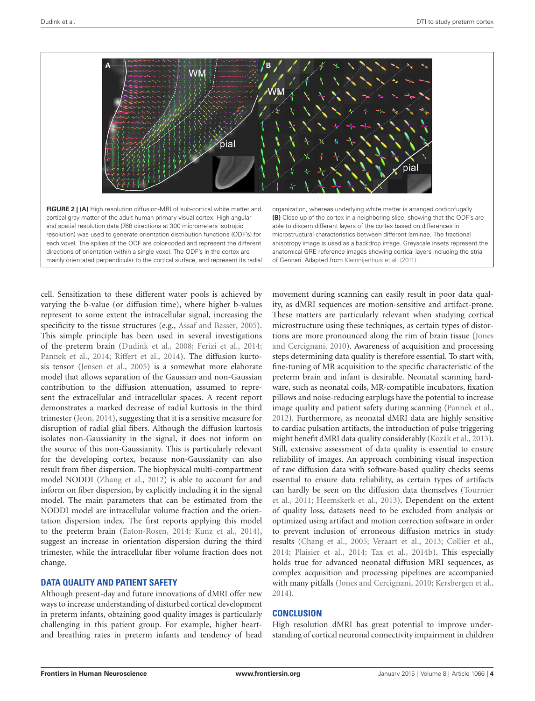

<span id="page-3-0"></span>**FIGURE 2 | (A)** High resolution diffusion-MRI of sub-cortical white matter and cortical gray matter of the adult human primary visual cortex. High angular and spatial resolution data (768 directions at 300 micrometers isotropic resolution) was used to generate orientation distribution functions (ODF's) for each voxel. The spikes of the ODF are color-coded and represent the different directions of orientation within a single voxel. The ODF's in the cortex are mainly orientated perpendicular to the cortical surface, and represent its radial

organization, whereas underlying white matter is arranged corticofugally. **(B)** Close-up of the cortex in a neighboring slice, showing that the ODF's are able to discern different layers of the cortex based on differences in microstructural characteristics between different laminae. The fractional anisotropy image is used as a backdrop image. Greyscale insets represent the anatomical GRE reference images showing cortical layers including the stria of Gennari. Adapted from [Kleinnijenhuis et al.](#page-5-26) [\(2011\)](#page-5-26).

cell. Sensitization to these different water pools is achieved by varying the b-value (or diffusion time), where higher b-values represent to some extent the intracellular signal, increasing the specificity to the tissue structures (e.g., [Assaf and Basser,](#page-4-18) [2005\)](#page-4-18). This simple principle has been used in several investigations of the preterm brain [\(Dudink et al.,](#page-4-19) [2008;](#page-4-19) [Ferizi et al.,](#page-4-20) [2014;](#page-4-20) [Pannek et al.,](#page-5-8) [2014;](#page-5-8) [Riffert et al.,](#page-5-27) [2014\)](#page-5-27). The diffusion kurtosis tensor [\(Jensen et al.,](#page-4-21) [2005\)](#page-4-21) is a somewhat more elaborate model that allows separation of the Gaussian and non-Gaussian contribution to the diffusion attenuation, assumed to represent the extracellular and intracellular spaces. A recent report demonstrates a marked decrease of radial kurtosis in the third trimester [\(Jeon,](#page-4-22) [2014\)](#page-4-22), suggesting that it is a sensitive measure for disruption of radial glial fibers. Although the diffusion kurtosis isolates non-Gaussianity in the signal, it does not inform on the source of this non-Gaussianity. This is particularly relevant for the developing cortex, because non-Gaussianity can also result from fiber dispersion. The biophysical multi-compartment model NODDI [\(Zhang et al.,](#page-6-1) [2012\)](#page-6-1) is able to account for and inform on fiber dispersion, by explicitly including it in the signal model. The main parameters that can be estimated from the NODDI model are intracellular volume fraction and the orientation dispersion index. The first reports applying this model to the preterm brain [\(Eaton-Rosen,](#page-4-23) [2014;](#page-4-23) [Kunz et al.,](#page-5-28) [2014\)](#page-5-28), suggest an increase in orientation dispersion during the third trimester, while the intracellular fiber volume fraction does not change.

## **DATA QUALITY AND PATIENT SAFETY**

Although present-day and future innovations of dMRI offer new ways to increase understanding of disturbed cortical development in preterm infants, obtaining good quality images is particularly challenging in this patient group. For example, higher heartand breathing rates in preterm infants and tendency of head

movement during scanning can easily result in poor data quality, as dMRI sequences are motion-sensitive and artifact-prone. These matters are particularly relevant when studying cortical microstructure using these techniques, as certain types of distortions are more pronounced along the rim of brain tissue [\(Jones](#page-4-24) [and Cercignani,](#page-4-24) [2010\)](#page-4-24). Awareness of acquisition and processing steps determining data quality is therefore essential. To start with, fine-tuning of MR acquisition to the specific characteristic of the preterm brain and infant is desirable. Neonatal scanning hardware, such as neonatal coils, MR-compatible incubators, fixation pillows and noise-reducing earplugs have the potential to increase image quality and patient safety during scanning [\(Pannek et al.,](#page-5-29) [2012\)](#page-5-29). Furthermore, as neonatal dMRI data are highly sensitive to cardiac pulsation artifacts, the introduction of pulse triggering might benefit dMRI data quality considerably [\(Kozák et al.,](#page-5-30) [2013\)](#page-5-30). Still, extensive assessment of data quality is essential to ensure reliability of images. An approach combining visual inspection of raw diffusion data with software-based quality checks seems essential to ensure data reliability, as certain types of artifacts can hardly be seen on the diffusion data themselves [\(Tournier](#page-5-6) [et al.,](#page-5-6) [2011;](#page-5-6) [Heemskerk et al.,](#page-4-25) [2013\)](#page-4-25). Dependent on the extent of quality loss, datasets need to be excluded from analysis or optimized using artifact and motion correction software in order to prevent inclusion of erroneous diffusion metrics in study results [\(Chang et al.,](#page-4-26) [2005;](#page-4-26) [Veraart et al.,](#page-6-8) [2013;](#page-6-8) [Collier et al.,](#page-4-27) [2014;](#page-4-27) [Plaisier et al.,](#page-5-31) [2014;](#page-5-31) [Tax et al.,](#page-5-32) [2014b\)](#page-5-32). This especially holds true for advanced neonatal diffusion MRI sequences, as complex acquisition and processing pipelines are accompanied with many pitfalls [\(Jones and Cercignani,](#page-4-24) [2010;](#page-4-24) [Kersbergen et al.,](#page-4-28) [2014\)](#page-4-28).

## **CONCLUSION**

High resolution dMRI has great potential to improve understanding of cortical neuronal connectivity impairment in children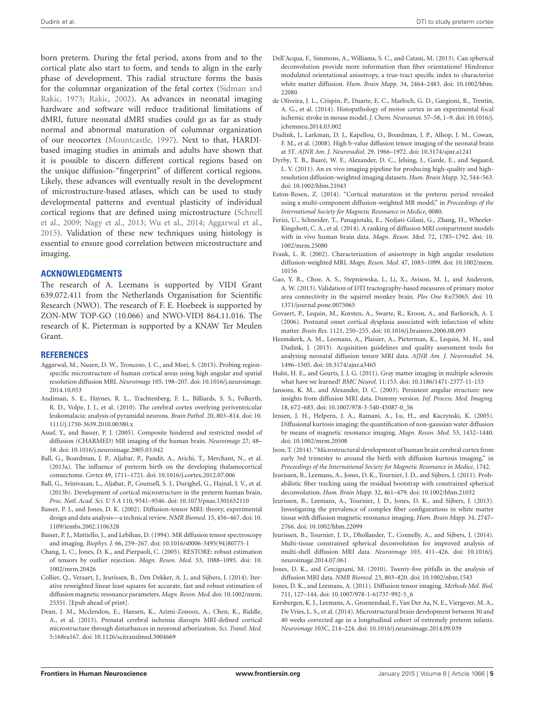born preterm. During the fetal period, axons from and to the cortical plate also start to form, and tends to align in the early phase of development. This radial structure forms the basis for the columnar organization of the fetal cortex [\(Sidman and](#page-5-33) [Rakic,](#page-5-33) [1973;](#page-5-33) [Rakic,](#page-5-34) [2002\)](#page-5-34). As advances in neonatal imaging hardware and software will reduce traditional limitations of dMRI, future neonatal dMRI studies could go as far as study normal and abnormal maturation of columnar organization of our neocortex [\(Mountcastle,](#page-5-35) [1997\)](#page-5-35). Next to that, HARDIbased imaging studies in animals and adults have shown that it is possible to discern different cortical regions based on the unique diffusion-"fingerprint" of different cortical regions. Likely, these advances will eventually result in the development of microstructure-based atlases, which can be used to study developmental patterns and eventual plasticity of individual cortical regions that are defined using microstructure [\(Schnell](#page-5-36) [et al.,](#page-5-36) [2009;](#page-5-36) [Nagy et al.,](#page-5-37) [2013;](#page-5-37) [Wu et al.,](#page-6-9) [2014;](#page-6-9) [Aggarwal et al.,](#page-4-29) [2015\)](#page-4-29). Validation of these new techniques using histology is essential to ensure good correlation between microstructure and imaging.

### **ACKNOWLEDGMENTS**

The research of A. Leemans is supported by VIDI Grant 639.072.411 from the Netherlands Organisation for Scientific Research (NWO). The research of F. E. Hoebeek is supported by ZON-MW TOP-GO (10.066) and NWO-VIDI 864.11.016. The research of K. Pieterman is supported by a KNAW Ter Meulen Grant.

#### **REFERENCES**

- <span id="page-4-29"></span>Aggarwal, M., Nauen, D. W., Troncoso, J. C., and Mori, S. (2015). Probing regionspecific microstructure of human cortical areas using high angular and spatial resolution diffusion MRI. *Neuroimage* 105, 198–207. doi: 10.1016/j.neuroimage. 2014.10.053
- <span id="page-4-4"></span>Andiman, S. E., Haynes, R. L., Trachtenberg, F. L., Billiards, S. S., Folkerth, R. D., Volpe, J. J., et al. (2010). The cerebral cortex overlying periventricular leukomalacia: analysis of pyramidal neurons. *Brain Pathol.* 20, 803–814. doi: 10. 1111/j.1750-3639.2010.00380.x
- <span id="page-4-18"></span>Assaf, Y., and Basser, P. J. (2005). Composite hindered and restricted model of diffusion (CHARMED) MR imaging of the human brain. *Neuroimage* 27, 48– 58. doi: 10.1016/j.neuroimage.2005.03.042
- <span id="page-4-6"></span>Ball, G., Boardman, J. P., Aljabar, P., Pandit, A., Arichi, T., Merchant, N., et al. (2013a). The influence of preterm birth on the developing thalamocortical connectome. *Cortex* 49, 1711–1721. doi: 10.1016/j.cortex.2012.07.006
- <span id="page-4-11"></span>Ball, G., Srinivasan, L., Aljabar, P., Counsell, S. J., Durighel, G., Hajnal, J. V., et al. (2013b). Development of cortical microstructure in the preterm human brain. *Proc. Natl. Acad. Sci. U S A* 110, 9541–9546. doi: 10.1073/pnas.1301652110
- <span id="page-4-10"></span>Basser, P. J., and Jones, D. K. (2002). Diffusion-tensor MRI: theory, experimental design and data analysis—a technical review. *NMR Biomed.* 15, 456–467. doi: 10. 1109/iembs.2002.1106328
- <span id="page-4-1"></span>Basser, P. J., Mattiello, J., and Lebihan, D. (1994). MR diffusion tensor spectroscopy and imaging. *Biophys. J.* 66, 259–267. doi: 10.1016/s0006-3495(94)80775-1
- <span id="page-4-26"></span>Chang, L. C., Jones, D. K., and Pierpaoli, C. (2005). RESTORE: robust estimation of tensors by outlier rejection. *Magn. Reson. Med.* 53, 1088–1095. doi: 10. 1002/mrm.20426
- <span id="page-4-27"></span>Collier, Q., Veraart, J., Jeurissen, B., Den Dekker, A. J., and Sijbers, J. (2014). Iterative reweighted linear least squares for accurate, fast and robust estimation of diffusion magnetic resonance parameters. *Magn. Reson. Med.* doi: 10.1002/mrm. 25351. [Epub ahead of print].
- <span id="page-4-7"></span>Dean, J. M., Mcclendon, E., Hansen, K., Azimi-Zonooz, A., Chen, K., Riddle, A., et al. (2013). Prenatal cerebral ischemia disrupts MRI-defined cortical microstructure through disturbances in neuronal arborization. *Sci. Transl. Med.* 5:168ra167. doi: 10.1126/scitranslmed.3004669
- <span id="page-4-16"></span>Dell'Acqua, F., Simmons, A., Williams, S. C., and Catani, M. (2013). Can spherical deconvolution provide more information than fiber orientations? Hindrance modulated orientational anisotropy, a true-tract specific index to characterize white matter diffusion. *Hum. Brain Mapp.* 34, 2464–2483. doi: 10.1002/hbm. 22080
- <span id="page-4-5"></span>de Oliveira, J. L., Crispin, P., Duarte, E. C., Marloch, G. D., Gargioni, R., Trentin, A. G., et al. (2014). Histopathology of motor cortex in an experimental focal ischemic stroke in mouse model. *J. Chem. Neuroanat.* 57–58, 1–9. doi: 10.1016/j. jchemneu.2014.03.002
- <span id="page-4-19"></span>Dudink, J., Larkman, D. J., Kapellou, O., Boardman, J. P., Allsop, J. M., Cowan, F. M., et al. (2008). High b-value diffusion tensor imaging of the neonatal brain at 3T. *AJNR Am. J. Neuroradiol.* 29, 1966–1972. doi: 10.3174/ajnr.a1241
- <span id="page-4-17"></span>Dyrby, T. B., Baaré, W. F., Alexander, D. C., Jelsing, J., Garde, E., and Søgaard, L. V. (2011). An ex vivo imaging pipeline for producing high-quality and highresolution diffusion-weighted imaging datasets. *Hum. Brain Mapp.* 32, 544–563. doi: 10.1002/hbm.21043
- <span id="page-4-23"></span>Eaton-Rosen, Z. (2014). "Cortical maturation in the preterm period revealed using a multi-component diffusion-weighted MR model," in *Proceedings of the International Society for Magnetic Resonance in Medice*, 0080.
- <span id="page-4-20"></span>Ferizi, U., Schneider, T., Panagiotaki, E., Nedjati-Gilani, G., Zhang, H., Wheeler-Kingshott, C. A., et al. (2014). A ranking of diffusion MRI compartment models with in vivo human brain data. *Magn. Reson. Med.* 72, 1785–1792. doi: 10. 1002/mrm.25080
- <span id="page-4-12"></span>Frank, L. R. (2002). Characterization of anisotropy in high angular resolution diffusion-weighted MRI. *Magn. Reson. Med.* 47, 1083–1099. doi: 10.1002/mrm. 10156
- <span id="page-4-9"></span>Gao, Y. R., Choe, A. S., Stepniewska, I., Li, X., Avison, M. J., and Anderson, A. W. (2013). Validation of DTI tractography-based measures of primary motor area connectivity in the squirrel monkey brain. *Plos One* 8:e75065. doi: 10. 1371/journal.pone.0075065
- <span id="page-4-0"></span>Govaert, P., Lequin, M., Korsten, A., Swarte, R., Kroon, A., and Barkovich, A. J. (2006). Postnatal onset cortical dysplasia associated with infarction of white matter. *Brain Res.* 1121, 250–255. doi: 10.1016/j.brainres.2006.08.093
- <span id="page-4-25"></span>Heemskerk, A. M., Leemans, A., Plaisier, A., Pieterman, K., Lequin, M. H., and Dudink, J. (2013). Acquisition guidelines and quality assessment tools for analyzing neonatal diffusion tensor MRI data. *AJNR Am. J. Neuroradiol.* 34, 1496–1505. doi: 10.3174/ajnr.a3465
- <span id="page-4-8"></span>Hulst, H. E., and Geurts, J. J. G. (2011). Gray matter imaging in multiple sclerosis: what have we learned? *BMC Neurol.* 11:153. doi: 10.1186/1471-2377-11-153
- <span id="page-4-13"></span>Jansons, K. M., and Alexander, D. C. (2003). Persistent angular structure: new insights from diffusion MRI data. Dummy version. *Inf. Process. Med. Imaging.* 18, 672–683. doi: 10.1007/978-3-540-45087-0\_56
- <span id="page-4-21"></span>Jensen, J. H., Helpern, J. A., Ramani, A., Lu, H., and Kaczynski, K. (2005). Diffusional kurtosis imaging: the quantification of non-gaussian water diffusion by means of magnetic resonance imaging. *Magn. Reson. Med.* 53, 1432–1440. doi: 10.1002/mrm.20508
- <span id="page-4-22"></span>Jeon, T. (2014). "Microstructural development of human brain cerebral cortex from early 3rd trimester to around the birth with diffusion kurtosis imaging," in *Proceedings of the International Society for Magnetic Resonance in Medice*, 1742.
- <span id="page-4-14"></span>Jeurissen, B., Leemans, A., Jones, D. K., Tournier, J. D., and Sijbers, J. (2011). Probabilistic fiber tracking using the residual bootstrap with constrained spherical deconvolution. *Hum. Brain Mapp.* 32, 461–479. doi: 10.1002/hbm.21032
- <span id="page-4-3"></span>Jeurissen, B., Leemans, A., Tournier, J. D., Jones, D. K., and Sijbers, J. (2013). Investigating the prevalence of complex fiber configurations in white matter tissue with diffusion magnetic resonance imaging. *Hum. Brain Mapp.* 34, 2747– 2766. doi: 10.1002/hbm.22099
- <span id="page-4-15"></span>Jeurissen, B., Tournier, J. D., Dhollander, T., Connelly, A., and Sijbers, J. (2014). Multi-tissue constrained spherical deconvolution for improved analysis of multi-shell diffusion MRI data. *Neuroimage* 103, 411–426. doi: 10.1016/j. neuroimage.2014.07.061
- <span id="page-4-24"></span>Jones, D. K., and Cercignani, M. (2010). Twenty-five pitfalls in the analysis of diffusion MRI data. *NMR Biomed.* 23, 803–820. doi: 10.1002/nbm.1543
- <span id="page-4-2"></span>Jones, D. K., and Leemans, A. (2011). Diffusion tensor imaging. *Methods Mol. Biol.* 711, 127–144. doi: 10.1007/978-1-61737-992-5\_6
- <span id="page-4-28"></span>Kersbergen, K. J., Leemans, A., Groenendaal, F., Van Der Aa, N. E., Viergever, M. A., De Vries, L. S., et al. (2014). Microstructural brain development between 30 and 40 weeks corrected age in a longitudinal cohort of extremely preterm infants. *Neuroimage* 103C, 214–224. doi: 10.1016/j.neuroimage.2014.09.039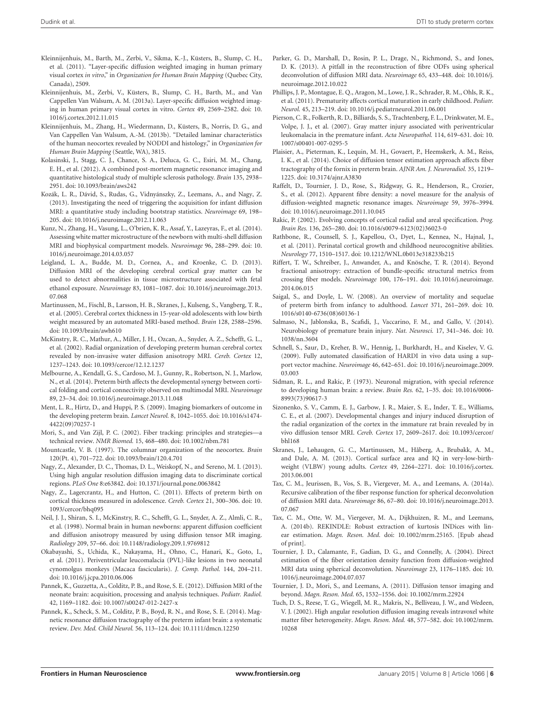- <span id="page-5-26"></span>Kleinnijenhuis, M., Barth, M., Zerbi, V., Sikma, K.-J., Küsters, B., Slump, C. H., et al. (2011). "Layer-specific diffusion weighted imaging in human primary visual cortex *in vitro*," in *Organization for Human Brain Mapping* (Quebec City, Canada), 2509.
- <span id="page-5-24"></span>Kleinnijenhuis, M., Zerbi, V., Küsters, B., Slump, C. H., Barth, M., and Van Cappellen Van Walsum, A. M. (2013a). Layer-specific diffusion weighted imaging in human primary visual cortex in vitro. *Cortex* 49, 2569–2582. doi: 10. 1016/j.cortex.2012.11.015
- <span id="page-5-10"></span>Kleinnijenhuis, M., Zhang, H., Wiedermann, D., Küsters, B., Norris, D. G., and Van Cappellen Van Walsum, A.-M. (2013b). "Detailed laminar characteristics of the human neocortex revealed by NODDI and histology," in *Organization for Human Brain Mapping* (Seattle, WA), 3815.
- <span id="page-5-11"></span>Kolasinski, J., Stagg, C. J., Chance, S. A., Deluca, G. C., Esiri, M. M., Chang, E. H., et al. (2012). A combined post-mortem magnetic resonance imaging and quantitative histological study of multiple sclerosis pathology. *Brain* 135, 2938– 2951. doi: 10.1093/brain/aws242
- <span id="page-5-30"></span>Kozák, L. R., Dávid, S., Rudas, G., Vidnyánszky, Z., Leemans, A., and Nagy, Z. (2013). Investigating the need of triggering the acquisition for infant diffusion MRI: a quantitative study including bootstrap statistics. *Neuroimage* 69, 198– 205. doi: 10.1016/j.neuroimage.2012.11.063
- <span id="page-5-28"></span>Kunz, N., Zhang, H., Vasung, L., O'brien, K. R., Assaf, Y., Lazeyras, F., et al. (2014). Assessing white matter microstructure of the newborn with multi-shell diffusion MRI and biophysical compartment models. *Neuroimage* 96, 288–299. doi: 10. 1016/j.neuroimage.2014.03.057
- <span id="page-5-12"></span>Leigland, L. A., Budde, M. D., Cornea, A., and Kroenke, C. D. (2013). Diffusion MRI of the developing cerebral cortical gray matter can be used to detect abnormalities in tissue microstructure associated with fetal ethanol exposure. *Neuroimage* 83, 1081–1087. doi: 10.1016/j.neuroimage.2013. 07.068
- <span id="page-5-7"></span>Martinussen, M., Fischl, B., Larsson, H. B., Skranes, J., Kulseng, S., Vangberg, T. R., et al. (2005). Cerebral cortex thickness in 15-year-old adolescents with low birth weight measured by an automated MRI-based method. *Brain* 128, 2588–2596. doi: 10.1093/brain/awh610
- <span id="page-5-20"></span>McKinstry, R. C., Mathur, A., Miller, J. H., Ozcan, A., Snyder, A. Z., Schefft, G. L., et al. (2002). Radial organization of developing preterm human cerebral cortex revealed by non-invasive water diffusion anisotropy MRI. *Cereb. Cortex* 12, 1237–1243. doi: 10.1093/cercor/12.12.1237
- <span id="page-5-16"></span>Melbourne, A., Kendall, G. S., Cardoso, M. J., Gunny, R., Robertson, N. J., Marlow, N., et al. (2014). Preterm birth affects the developmental synergy between cortical folding and cortical connectivity observed on multimodal MRI. *Neuroimage* 89, 23–34. doi: 10.1016/j.neuroimage.2013.11.048
- <span id="page-5-9"></span>Ment, L. R., Hirtz, D., and Huppi, P. S. (2009). Imaging biomarkers of outcome in the developing preterm brain. *Lancet Neurol.* 8, 1042–1055. doi: 10.1016/s1474- 4422(09)70257-1
- <span id="page-5-13"></span>Mori, S., and Van Zijl, P. C. (2002). Fiber tracking: principles and strategiestechnical review. *NMR Biomed.* 15, 468–480. doi: 10.1002/nbm.781
- <span id="page-5-35"></span>Mountcastle, V. B. (1997). The columnar organization of the neocortex. *Brain* 120(Pt. 4), 701–722. doi: 10.1093/brain/120.4.701
- <span id="page-5-37"></span>Nagy, Z., Alexander, D. C., Thomas, D. L., Weiskopf, N., and Sereno, M. I. (2013). Using high angular resolution diffusion imaging data to discriminate cortical regions. *PLoS One* 8:e63842. doi: 10.1371/journal.pone.0063842
- <span id="page-5-17"></span>Nagy, Z., Lagercrantz, H., and Hutton, C. (2011). Effects of preterm birth on cortical thickness measured in adolescence. *Cereb. Cortex* 21, 300–306. doi: 10. 1093/cercor/bhq095
- <span id="page-5-21"></span>Neil, J. J., Shiran, S. I., McKinstry, R. C., Schefft, G. L., Snyder, A. Z., Almli, C. R., et al. (1998). Normal brain in human newborns: apparent diffusion coefficient and diffusion anisotropy measured by using diffusion tensor MR imaging. *Radiology* 209, 57–66. doi: 10.1148/radiology.209.1.9769812
- <span id="page-5-4"></span>Okabayashi, S., Uchida, K., Nakayama, H., Ohno, C., Hanari, K., Goto, I., et al. (2011). Periventricular leucomalacia (PVL)-like lesions in two neonatal cynomolgus monkeys (Macaca fascicularis). *J. Comp. Pathol.* 144, 204–211. doi: 10.1016/j.jcpa.2010.06.006
- <span id="page-5-29"></span>Pannek, K., Guzzetta, A., Colditz, P. B., and Rose, S. E. (2012). Diffusion MRI of the neonate brain: acquisition, processing and analysis techniques. *Pediatr. Radiol.* 42, 1169–1182. doi: 10.1007/s00247-012-2427-x
- <span id="page-5-8"></span>Pannek, K., Scheck, S. M., Colditz, P. B., Boyd, R. N., and Rose, S. E. (2014). Magnetic resonance diffusion tractography of the preterm infant brain: a systematic review. *Dev. Med. Child Neurol.* 56, 113–124. doi: 10.1111/dmcn.12250
- <span id="page-5-25"></span>Parker, G. D., Marshall, D., Rosin, P. L., Drage, N., Richmond, S., and Jones, D. K. (2013). A pitfall in the reconstruction of fibre ODFs using spherical deconvolution of diffusion MRI data. *Neuroimage* 65, 433–448. doi: 10.1016/j. neuroimage.2012.10.022
- <span id="page-5-14"></span>Phillips, J. P., Montague, E. Q., Aragon, M., Lowe, J. R., Schrader, R. M., Ohls, R. K., et al. (2011). Prematurity affects cortical maturation in early childhood. *Pediatr. Neurol.* 45, 213–219. doi: 10.1016/j.pediatrneurol.2011.06.001
- <span id="page-5-2"></span>Pierson, C. R., Folkerth, R. D., Billiards, S. S., Trachtenberg, F. L., Drinkwater, M. E., Volpe, J. J., et al. (2007). Gray matter injury associated with periventricular leukomalacia in the premature infant. *Acta Neuropathol.* 114, 619–631. doi: 10. 1007/s00401-007-0295-5
- <span id="page-5-31"></span>Plaisier, A., Pieterman, K., Lequin, M. H., Govaert, P., Heemskerk, A. M., Reiss, I. K., et al. (2014). Choice of diffusion tensor estimation approach affects fiber tractography of the fornix in preterm brain. *AJNR Am. J. Neuroradiol.* 35, 1219– 1225. doi: 10.3174/ajnr.A3830
- <span id="page-5-23"></span>Raffelt, D., Tournier, J. D., Rose, S., Ridgway, G. R., Henderson, R., Crozier, S., et al. (2012). Apparent fibre density: a novel measure for the analysis of diffusion-weighted magnetic resonance images. *Neuroimage* 59, 3976–3994. doi: 10.1016/j.neuroimage.2011.10.045
- <span id="page-5-34"></span>Rakic, P. (2002). Evolving concepts of cortical radial and areal specification. *Prog. Brain Res.* 136, 265–280. doi: 10.1016/s0079-6123(02)36023-0
- <span id="page-5-15"></span>Rathbone, R., Counsell, S. J., Kapellou, O., Dyet, L., Kennea, N., Hajnal, J., et al. (2011). Perinatal cortical growth and childhood neurocognitive abilities. *Neurology* 77, 1510–1517. doi: 10.1212/WNL.0b013e318233b215
- <span id="page-5-27"></span>Riffert, T. W., Schreiber, J., Anwander, A., and Knösche, T. R. (2014). Beyond fractional anisotropy: extraction of bundle-specific structural metrics from crossing fiber models. *Neuroimage* 100, 176–191. doi: 10.1016/j.neuroimage. 2014.06.015
- <span id="page-5-0"></span>Saigal, S., and Doyle, L. W. (2008). An overview of mortality and sequelae of preterm birth from infancy to adulthood. *Lancet* 371, 261–269. doi: 10. 1016/s0140-6736(08)60136-1
- <span id="page-5-1"></span>Salmaso, N., Jablonska, B., Scafidi, J., Vaccarino, F. M., and Gallo, V. (2014). Neurobiology of premature brain injury. *Nat. Neurosci.* 17, 341–346. doi: 10. 1038/nn.3604
- <span id="page-5-36"></span>Schnell, S., Saur, D., Kreher, B. W., Hennig, J., Burkhardt, H., and Kiselev, V. G. (2009). Fully automated classification of HARDI in vivo data using a support vector machine. *Neuroimage* 46, 642–651. doi: 10.1016/j.neuroimage.2009. 03.003
- <span id="page-5-33"></span>Sidman, R. L., and Rakic, P. (1973). Neuronal migration, with special reference to developing human brain: a review. *Brain Res.* 62, 1–35. doi: 10.1016/0006- 8993(73)90617-3
- <span id="page-5-3"></span>Sizonenko, S. V., Camm, E. J., Garbow, J. R., Maier, S. E., Inder, T. E., Williams, C. E., et al. (2007). Developmental changes and injury induced disruption of the radial organization of the cortex in the immature rat brain revealed by in vivo diffusion tensor MRI. *Cereb. Cortex* 17, 2609–2617. doi: 10.1093/cercor/ bhl168
- <span id="page-5-18"></span>Skranes, J., Løhaugen, G. C., Martinussen, M., Håberg, A., Brubakk, A. M., and Dale, A. M. (2013). Cortical surface area and IQ in very-low-birthweight (VLBW) young adults. *Cortex* 49, 2264–2271. doi: 10.1016/j.cortex. 2013.06.001
- <span id="page-5-22"></span>Tax, C. M., Jeurissen, B., Vos, S. B., Viergever, M. A., and Leemans, A. (2014a). Recursive calibration of the fiber response function for spherical deconvolution of diffusion MRI data. *Neuroimage* 86, 67–80. doi: 10.1016/j.neuroimage.2013. 07.067
- <span id="page-5-32"></span>Tax, C. M., Otte, W. M., Viergever, M. A., Dijkhuizen, R. M., and Leemans, A. (2014b). REKINDLE: Robust extraction of kurtosis INDices with linear estimation. *Magn. Reson. Med.* doi: 10.1002/mrm.25165. [Epub ahead of print].
- <span id="page-5-5"></span>Tournier, J. D., Calamante, F., Gadian, D. G., and Connelly, A. (2004). Direct estimation of the fiber orientation density function from diffusion-weighted MRI data using spherical deconvolution. *Neuroimage* 23, 1176–1185. doi: 10. 1016/j.neuroimage.2004.07.037
- <span id="page-5-6"></span>Tournier, J. D., Mori, S., and Leemans, A. (2011). Diffusion tensor imaging and beyond. *Magn. Reson. Med.* 65, 1532–1556. doi: 10.1002/mrm.22924
- <span id="page-5-19"></span>Tuch, D. S., Reese, T. G., Wiegell, M. R., Makris, N., Belliveau, J. W., and Wedeen, V. J. (2002). High angular resolution diffusion imaging reveals intravoxel white matter fiber heterogeneity. *Magn. Reson. Med.* 48, 577–582. doi: 10.1002/mrm. 10268